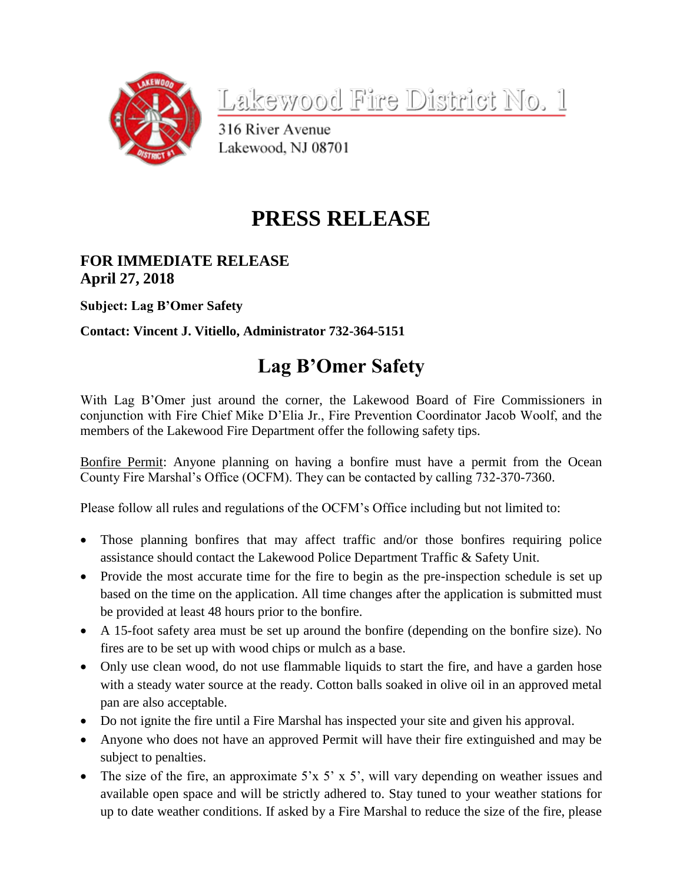

<u>Lakewood Fire District No. 1</u>

316 River Avenue Lakewood, NJ 08701

## **PRESS RELEASE**

## **FOR IMMEDIATE RELEASE April 27, 2018**

**Subject: Lag B'Omer Safety**

**Contact: Vincent J. Vitiello, Administrator 732-364-5151**

## **Lag B'Omer Safety**

With Lag B'Omer just around the corner, the Lakewood Board of Fire Commissioners in conjunction with Fire Chief Mike D'Elia Jr., Fire Prevention Coordinator Jacob Woolf, and the members of the Lakewood Fire Department offer the following safety tips.

Bonfire Permit: Anyone planning on having a bonfire must have a permit from the Ocean County Fire Marshal's Office (OCFM). They can be contacted by calling 732-370-7360.

Please follow all rules and regulations of the OCFM's Office including but not limited to:

- Those planning bonfires that may affect traffic and/or those bonfires requiring police assistance should contact the Lakewood Police Department Traffic & Safety Unit.
- Provide the most accurate time for the fire to begin as the pre-inspection schedule is set up based on the time on the application. All time changes after the application is submitted must be provided at least 48 hours prior to the bonfire.
- A 15-foot safety area must be set up around the bonfire (depending on the bonfire size). No fires are to be set up with wood chips or mulch as a base.
- Only use clean wood, do not use flammable liquids to start the fire, and have a garden hose with a steady water source at the ready. Cotton balls soaked in olive oil in an approved metal pan are also acceptable.
- Do not ignite the fire until a Fire Marshal has inspected your site and given his approval.
- Anyone who does not have an approved Permit will have their fire extinguished and may be subject to penalties.
- The size of the fire, an approximate 5'x 5' x 5', will vary depending on weather issues and available open space and will be strictly adhered to. Stay tuned to your weather stations for up to date weather conditions. If asked by a Fire Marshal to reduce the size of the fire, please